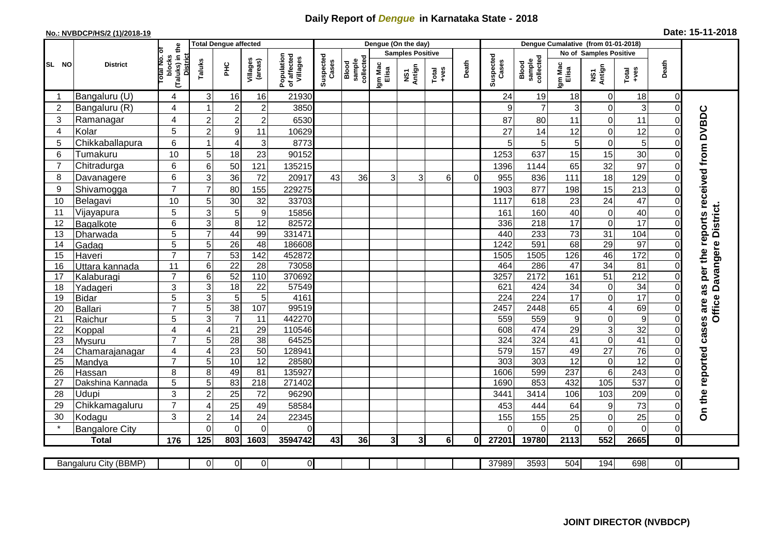## **Daily Report of** *Dengue* **in Karnataka State - 2018**

## **No.: NVBDCP/HS/2 (1)/2018-19 Date: 15-11-2018**

|                 |                          | eq                                                   | <b>Total Dengue affected</b> |                       |                     |                                       |                    |                              |                         | Dengue (On the day) |                                          |          |                    |                                     |                        |                         |                  |                         |                                                                  |
|-----------------|--------------------------|------------------------------------------------------|------------------------------|-----------------------|---------------------|---------------------------------------|--------------------|------------------------------|-------------------------|---------------------|------------------------------------------|----------|--------------------|-------------------------------------|------------------------|-------------------------|------------------|-------------------------|------------------------------------------------------------------|
|                 |                          | ō                                                    |                              |                       |                     |                                       | Suspected<br>Cases |                              | <b>Samples Positive</b> |                     |                                          |          |                    |                                     | No of Samples Positive |                         |                  |                         |                                                                  |
| SL NO           | <b>District</b>          | (Taluks) in<br>otal No.<br>blocks<br><b>District</b> | Taluks                       | Ξ                     | Villages<br>(areas) | Population<br>of affected<br>Villages |                    | Blood<br>sample<br>collected | Igm Mac<br>Elisa        | NS1<br>Antign       | $_{+ \vee \mathsf{es}}^{\mathsf{Total}}$ | Death    | Suspected<br>Cases | collected<br><b>Blood</b><br>sample | Igm Mac<br>Elisa       | NS1<br>Antign           | Total<br>+ves    | Death                   |                                                                  |
|                 | Bangaluru (U)            | 4                                                    | 3                            | 16                    | 16                  | 21930                                 |                    |                              |                         |                     |                                          |          | 24                 | 19                                  | 18                     | 0                       | 18               | 0                       |                                                                  |
| $\overline{2}$  | Bangaluru (R)            | 4                                                    |                              | $\overline{2}$        | $\mathbf 2$         | 3850                                  |                    |                              |                         |                     |                                          |          | 9                  | $\overline{7}$                      | 3                      | 0                       | 3                | $\mathbf 0$             |                                                                  |
| 3               | Ramanagar                | 4                                                    | $\overline{2}$               | $\overline{2}$        | $\overline{c}$      | 6530                                  |                    |                              |                         |                     |                                          |          | 87                 | 80                                  | 11                     | 0                       | 11               | $\Omega$                |                                                                  |
| $\overline{4}$  | Kolar                    | 5                                                    | $\overline{2}$               | 9                     | 11                  | 10629                                 |                    |                              |                         |                     |                                          |          | 27                 | 14                                  | 12                     | 0                       | 12               | $\Omega$                |                                                                  |
| 5               | Chikkaballapura          | $6\phantom{1}$                                       |                              | $\overline{4}$        | 3                   | 8773                                  |                    |                              |                         |                     |                                          |          | 5                  | 5                                   | 5                      | 0                       | 5                | $\mathbf 0$             |                                                                  |
| $6\phantom{1}6$ | Tumakuru                 | 10                                                   | 5                            | 18                    | 23                  | 90152                                 |                    |                              |                         |                     |                                          |          | 1253               | 637                                 | 15                     | 15                      | 30               | $\Omega$                |                                                                  |
| 7               | Chitradurga              | 6                                                    | 6                            | 50                    | 121                 | 135215                                |                    |                              |                         |                     |                                          |          | 1396               | 1144                                | 65                     | 32                      | 97               | $\mathbf 0$             |                                                                  |
| 8               | Davanagere               | 6                                                    | 3                            | 36                    | 72                  | 20917                                 | 43                 | 36                           | 3                       | 3                   | 6                                        | $\Omega$ | 955                | 836                                 | 111                    | 18                      | 129              | $\mathbf 0$             |                                                                  |
| 9               | Shivamogga               | $\overline{7}$                                       | $\overline{7}$               | 80                    | 155                 | 229275                                |                    |                              |                         |                     |                                          |          | 1903               | 877                                 | 198                    | 15                      | 213              | $\Omega$                |                                                                  |
| 10              | Belagavi                 | 10                                                   | 5                            | 30                    | 32                  | 33703                                 |                    |                              |                         |                     |                                          |          | 1117               | 618                                 | 23                     | 24                      | 47               | $\mathbf 0$             |                                                                  |
| 11              | Vijayapura               | 5                                                    | 3                            | 5                     | $\boldsymbol{9}$    | 15856                                 |                    |                              |                         |                     |                                          |          | 161                | 160                                 | 40                     | $\mathbf 0$             | 40               | $\mathbf 0$             | Office Davangere District.                                       |
| 12              | Bagalkote                | 6                                                    | 3                            | 8                     | $\overline{12}$     | 82572                                 |                    |                              |                         |                     |                                          |          | 336                | 218                                 | 17                     | $\mathbf 0$             | $\overline{17}$  | $\Omega$                |                                                                  |
| 13              | Dharwada                 | $\sqrt{5}$                                           | $\overline{7}$               | 44                    | 99                  | 331471                                |                    |                              |                         |                     |                                          |          | 440                | 233                                 | 73                     | 31                      | 104              | $\mathbf 0$             |                                                                  |
| 14              | Gadag                    | $\overline{5}$                                       | 5                            | 26                    | 48                  | 186608                                |                    |                              |                         |                     |                                          |          | 1242               | 591                                 | 68                     | 29                      | 97               | $\mathbf 0$             |                                                                  |
| 15              | Haveri                   | $\overline{7}$                                       | $\overline{7}$               | 53                    | 142                 | 452872                                |                    |                              |                         |                     |                                          |          | 1505               | 1505                                | 126                    | 46                      | $\frac{1}{172}$  | $\mathbf 0$             |                                                                  |
| 16              | Uttara kannada           | 11                                                   | $\,6$                        | $\overline{22}$       | 28                  | 73058                                 |                    |                              |                         |                     |                                          |          | 464                | 286                                 | 47                     | $\overline{34}$         | $\overline{81}$  | 0                       |                                                                  |
| 17              | Kalaburagi               | $\overline{7}$                                       | 6                            | 52                    | 110                 | 370692                                |                    |                              |                         |                     |                                          |          | 3257               | 2172                                | 161                    | $\overline{51}$         | $\overline{212}$ | $\mathbf 0$             |                                                                  |
| 18              | Yadageri                 | 3                                                    | 3                            | 18                    | 22                  | 57549                                 |                    |                              |                         |                     |                                          |          | 621                | 424                                 | 34                     | 0                       | 34               | $\mathbf 0$             |                                                                  |
| 19              | Bidar                    | 5                                                    | 3                            | $\overline{5}$        | 5                   | 4161                                  |                    |                              |                         |                     |                                          |          | 224                | 224                                 | 17                     | 0                       | 17               | $\Omega$                |                                                                  |
| 20              | Ballari                  | $\overline{7}$                                       | 5                            | 38                    | 107                 | 99519                                 |                    |                              |                         |                     |                                          |          | 2457               | 2448                                | 65                     | $\overline{\mathbf{4}}$ | 69               | $\mathbf 0$             |                                                                  |
| 21              | Raichur                  | 5                                                    | 3                            | $\overline{7}$        | $\overline{11}$     | 442270                                |                    |                              |                         |                     |                                          |          | 559                | 559                                 | 9                      | 0                       | 9                | $\mathbf 0$             |                                                                  |
| 22              | Koppal                   | $\overline{4}$<br>$\overline{7}$                     | $\overline{4}$               | 21                    | 29                  | 110546                                |                    |                              |                         |                     |                                          |          | 608                | 474                                 | 29                     | 3                       | 32<br>41         | $\mathbf 0$<br>$\Omega$ |                                                                  |
| 23<br>24        | Mysuru                   | $\overline{\mathbf{4}}$                              | 5<br>$\overline{4}$          | $\overline{28}$<br>23 | 38<br>50            | 64525<br>12894                        |                    |                              |                         |                     |                                          |          | 324<br>579         | 324<br>157                          | 41<br>49               | 0<br>$\overline{27}$    | $\overline{76}$  | $\Omega$                |                                                                  |
| $\overline{25}$ | Chamarajanagar<br>Mandya | $\overline{7}$                                       | 5                            | 10                    | 12                  | 28580                                 |                    |                              |                         |                     |                                          |          | 303                | 303                                 | 12                     | $\boldsymbol{0}$        | 12               | $\mathbf 0$             |                                                                  |
| 26              | Hassan                   | 8                                                    | 8                            | 49                    | 81                  | 135927                                |                    |                              |                         |                     |                                          |          | 1606               | 599                                 | 237                    | $\overline{6}$          | 243              | $\overline{0}$          |                                                                  |
| 27              | Dakshina Kannada         | 5                                                    | 5                            | 83                    | 218                 | 271402                                |                    |                              |                         |                     |                                          |          | 1690               | 853                                 | 432                    | 105                     | 537              | $\mathbf 0$             |                                                                  |
| 28              | <b>Udupi</b>             | 3                                                    | $\overline{2}$               | 25                    | 72                  | 96290                                 |                    |                              |                         |                     |                                          |          | 3441               | 3414                                | 106                    | 103                     | 209              | $\Omega$                |                                                                  |
| 29              | Chikkamagaluru           | $\overline{7}$                                       | $\Delta$                     | 25                    | 49                  | 58584                                 |                    |                              |                         |                     |                                          |          | 453                | 444                                 | 64                     | 9                       | 73               | $\Omega$                |                                                                  |
| 30              | Kodagu                   | 3                                                    | $\overline{2}$               | 14                    | 24                  | 22345                                 |                    |                              |                         |                     |                                          |          | 155                | 155                                 | 25                     | 0                       | 25               | $\mathbf 0$             | On the reported cases are as per the reports received from DVBDC |
| $\star$         | <b>Bangalore City</b>    |                                                      | $\Omega$                     | $\overline{0}$        | $\overline{0}$      | $\Omega$                              |                    |                              |                         |                     |                                          |          | $\Omega$           | $\Omega$                            | $\mathbf 0$            | 0                       | $\overline{0}$   | $\mathbf 0$             |                                                                  |
|                 | <b>Total</b>             | 176                                                  | 125                          | 803                   | 1603                | 3594742                               | 43                 | 36                           | 31                      | 3 <sup>l</sup>      | 6I                                       | ΩI       | 27201              | 19780                               | 2113                   | $\overline{552}$        | 2665             | $\mathbf 0$             |                                                                  |
|                 |                          |                                                      |                              |                       |                     |                                       |                    |                              |                         |                     |                                          |          |                    |                                     |                        |                         |                  |                         |                                                                  |
|                 | Bangaluru City (BBMP)    |                                                      | $\overline{0}$               | $\overline{0}$        | $\overline{0}$      | $\overline{0}$                        |                    |                              |                         |                     |                                          |          | 37989              | 3593                                | 504                    | 194                     | 698              | $\overline{0}$          |                                                                  |